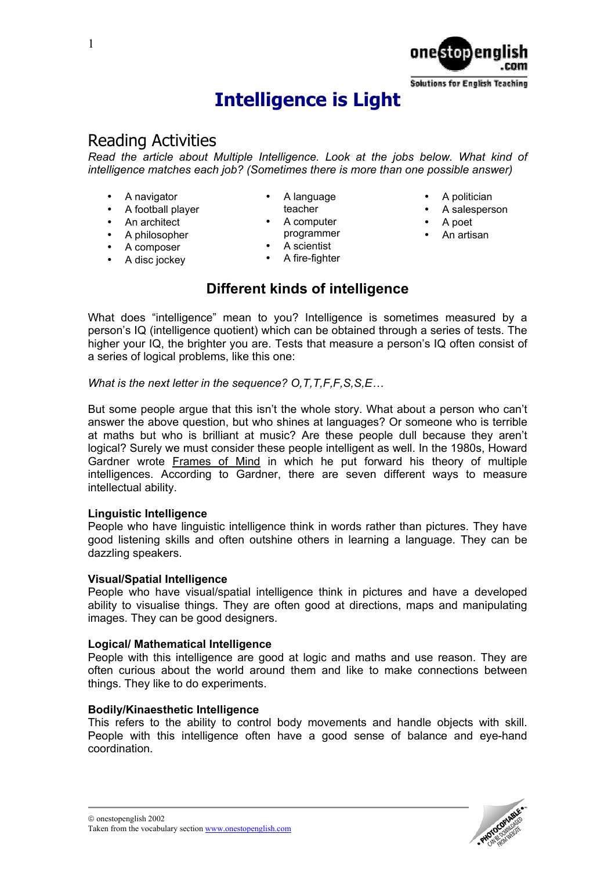1

# **Intelligence is Light**

# Reading Activities

*Read the article about Multiple Intelligence. Look at the jobs below. What kind of intelligence matches each job? (Sometimes there is more than one possible answer)*

• A language

- A navigator
- A football player
- An architect
- A philosopher
- A composer
- A disc jockey
- teacher A computer
- programmer
- A scientist
- A fire-fighter

# **Different kinds of intelligence**

What does "intelligence" mean to you? Intelligence is sometimes measured by a person's IQ (intelligence quotient) which can be obtained through a series of tests. The higher your IQ, the brighter you are. Tests that measure a person's IQ often consist of a series of logical problems, like this one:

*What is the next letter in the sequence? O,T,T,F,F,S,S,E…* 

But some people argue that this isn't the whole story. What about a person who can't answer the above question, but who shines at languages? Or someone who is terrible at maths but who is brilliant at music? Are these people dull because they aren't logical? Surely we must consider these people intelligent as well. In the 1980s, Howard Gardner wrote Frames of Mind in which he put forward his theory of multiple intelligences. According to Gardner, there are seven different ways to measure intellectual ability.

## **Linguistic Intelligence**

People who have linguistic intelligence think in words rather than pictures. They have good listening skills and often outshine others in learning a language. They can be dazzling speakers.

## **Visual/Spatial Intelligence**

People who have visual/spatial intelligence think in pictures and have a developed ability to visualise things. They are often good at directions, maps and manipulating images. They can be good designers.

### **Logical/ Mathematical Intelligence**

People with this intelligence are good at logic and maths and use reason. They are often curious about the world around them and like to make connections between things. They like to do experiments.

## **Bodily/Kinaesthetic Intelligence**

This refers to the ability to control body movements and handle objects with skill. People with this intelligence often have a good sense of balance and eye-hand coordination.

### • A politician

• A salesperson

**Solutions for English Teaching** 

- A poet
- An artisan

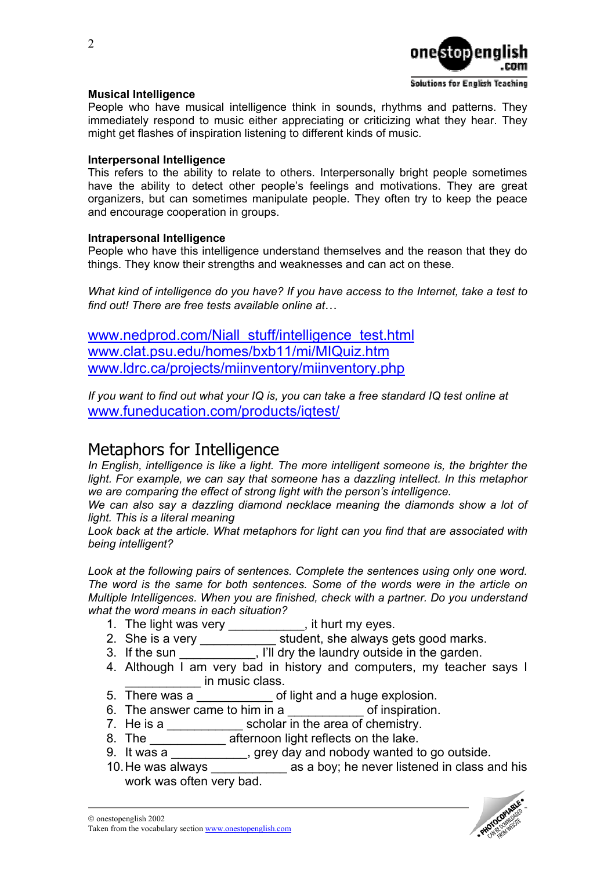

## **Musical Intelligence**

People who have musical intelligence think in sounds, rhythms and patterns. They immediately respond to music either appreciating or criticizing what they hear. They might get flashes of inspiration listening to different kinds of music.

### **Interpersonal Intelligence**

This refers to the ability to relate to others. Interpersonally bright people sometimes have the ability to detect other people's feelings and motivations. They are great organizers, but can sometimes manipulate people. They often try to keep the peace and encourage cooperation in groups.

### **Intrapersonal Intelligence**

People who have this intelligence understand themselves and the reason that they do things. They know their strengths and weaknesses and can act on these.

*What kind of intelligence do you have? If you have access to the Internet, take a test to find out! There are free tests available online at*…

[www.nedprod.com/Niall\\_stuff/intelligence\\_test.html](http://www.nedprod.com/Niall_stuff/intelligence_test.html) [www.clat.psu.edu/homes/bxb11/mi/MIQuiz.htm](http://www.clat.psu.edu/homes/bxb11/mi/MIQuiz.htm) [www.ldrc.ca/projects/miinventory/miinventory.php](http://www.ldrc.ca/projects/miinventory/miinventory.php)

*If you want to find out what your IQ is, you can take a free standard IQ test online at*  [www.funeducation.com/products/iqtest/](http://www.funeducation.com/products/iqtest/) 

# Metaphors for Intelligence

In English, intelligence is like a light. The more intelligent someone is, the brighter the light. For example, we can say that someone has a dazzling intellect. In this metaphor *we are comparing the effect of strong light with the person's intelligence.*

*We can also say a dazzling diamond necklace meaning the diamonds show a lot of light. This is a literal meaning* 

*Look back at the article. What metaphors for light can you find that are associated with being intelligent?* 

*Look at the following pairs of sentences. Complete the sentences using only one word. The word is the same for both sentences. Some of the words were in the article on Multiple Intelligences. When you are finished, check with a partner. Do you understand what the word means in each situation?* 

- 1. The light was very \_\_\_\_\_\_\_\_\_\_, it hurt my eyes.
- 2. She is a very \_\_\_\_\_\_\_\_\_\_\_\_\_ student, she always gets good marks.
- 3. If the sun \_\_\_\_\_\_\_\_\_\_, I'll dry the laundry outside in the garden.
- 4. Although I am very bad in history and computers, my teacher says I **Example 10** in music class.
- 5. There was a **contact of light and a huge explosion.**
- 6. The answer came to him in a \_\_\_\_\_\_\_\_\_\_\_\_\_\_\_\_ of inspiration.
- 7. He is a \_\_\_\_\_\_\_\_\_\_\_\_\_\_ scholar in the area of chemistry.
- 8. The \_\_\_\_\_\_\_\_\_\_\_\_\_\_ afternoon light reflects on the lake.
- 9. It was a \_\_\_\_\_\_\_\_\_\_\_, grey day and nobody wanted to go outside.
- 10. He was always \_\_\_\_\_\_\_\_\_\_\_ as a boy; he never listened in class and his work was often very bad.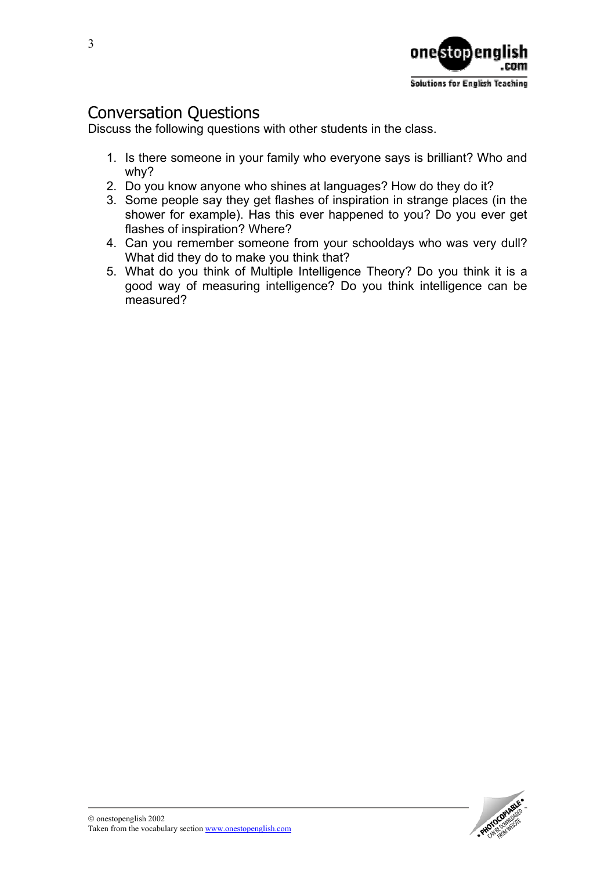

# Conversation Questions

Discuss the following questions with other students in the class.

- 1. Is there someone in your family who everyone says is brilliant? Who and why?
- 2. Do you know anyone who shines at languages? How do they do it?
- 3. Some people say they get flashes of inspiration in strange places (in the shower for example). Has this ever happened to you? Do you ever get flashes of inspiration? Where?
- 4. Can you remember someone from your schooldays who was very dull? What did they do to make you think that?
- 5. What do you think of Multiple Intelligence Theory? Do you think it is a good way of measuring intelligence? Do you think intelligence can be measured?